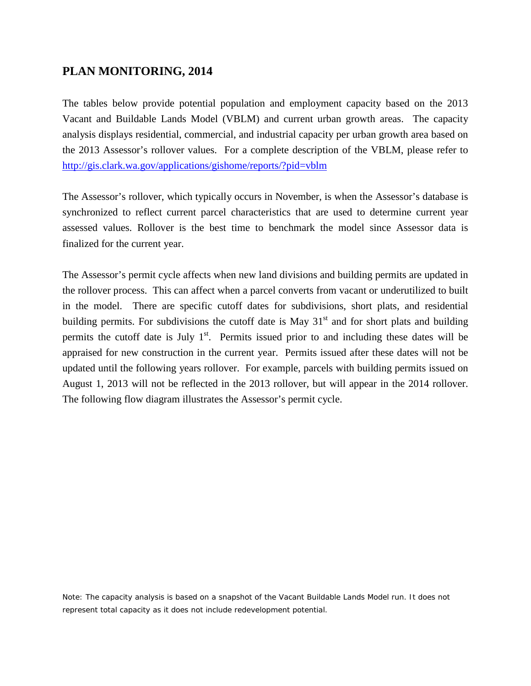## **PLAN MONITORING, 2014**

The tables below provide potential population and employment capacity based on the 2013 Vacant and Buildable Lands Model (VBLM) and current urban growth areas. The capacity analysis displays residential, commercial, and industrial capacity per urban growth area based on the 2013 Assessor's rollover values. For a complete description of the VBLM, please refer to <http://gis.clark.wa.gov/applications/gishome/reports/?pid=vblm>

The Assessor's rollover, which typically occurs in November, is when the Assessor's database is synchronized to reflect current parcel characteristics that are used to determine current year assessed values. Rollover is the best time to benchmark the model since Assessor data is finalized for the current year.

The Assessor's permit cycle affects when new land divisions and building permits are updated in the rollover process. This can affect when a parcel converts from vacant or underutilized to built in the model. There are specific cutoff dates for subdivisions, short plats, and residential building permits. For subdivisions the cutoff date is May  $31<sup>st</sup>$  and for short plats and building permits the cutoff date is July  $1<sup>st</sup>$ . Permits issued prior to and including these dates will be appraised for new construction in the current year. Permits issued after these dates will not be updated until the following years rollover. For example, parcels with building permits issued on August 1, 2013 will not be reflected in the 2013 rollover, but will appear in the 2014 rollover. The following flow diagram illustrates the Assessor's permit cycle.

Note: The capacity analysis is based on a snapshot of the Vacant Buildable Lands Model run. It does not represent total capacity as it does not include redevelopment potential.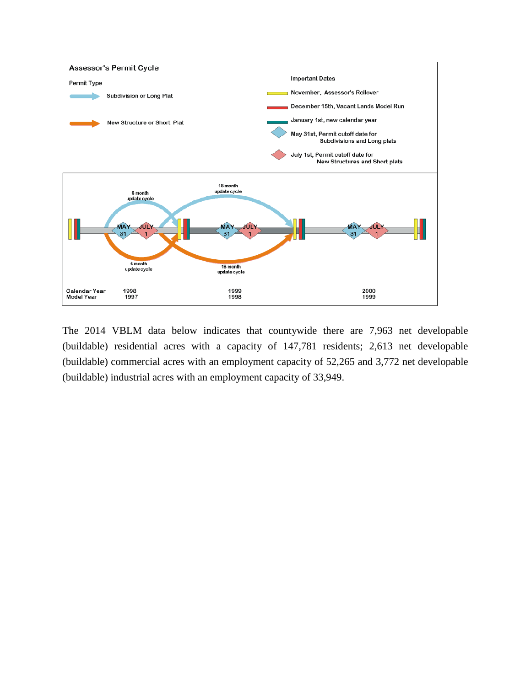

The 2014 VBLM data below indicates that countywide there are 7,963 net developable (buildable) residential acres with a capacity of 147,781 residents; 2,613 net developable (buildable) commercial acres with an employment capacity of 52,265 and 3,772 net developable (buildable) industrial acres with an employment capacity of 33,949.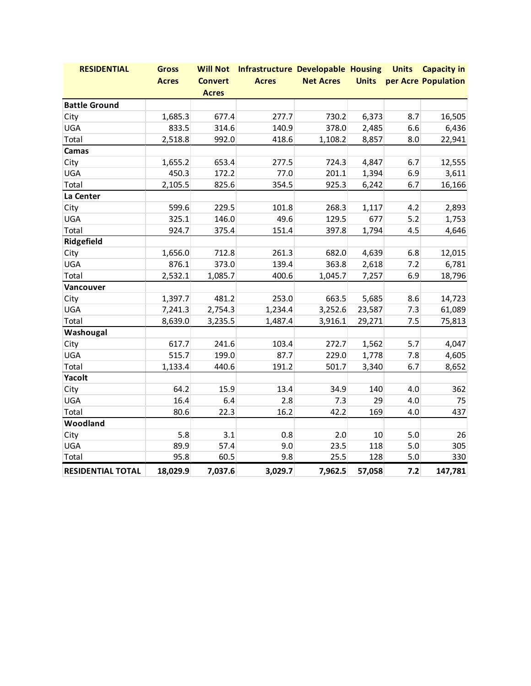| <b>RESIDENTIAL</b>       | <b>Gross</b> |                | Will Not Infrastructure Developable Housing Units Capacity in |                  |        |     |                                  |
|--------------------------|--------------|----------------|---------------------------------------------------------------|------------------|--------|-----|----------------------------------|
|                          | <b>Acres</b> | <b>Convert</b> | <b>Acres</b>                                                  | <b>Net Acres</b> |        |     | <b>Units</b> per Acre Population |
| <b>Acres</b>             |              |                |                                                               |                  |        |     |                                  |
| <b>Battle Ground</b>     |              |                |                                                               |                  |        |     |                                  |
| City                     | 1,685.3      | 677.4          | 277.7                                                         | 730.2            | 6,373  | 8.7 | 16,505                           |
| UGA                      | 833.5        | 314.6          | 140.9                                                         | 378.0            | 2,485  | 6.6 | 6,436                            |
| Total                    | 2,518.8      | 992.0          | 418.6                                                         | 1,108.2          | 8,857  | 8.0 | 22,941                           |
| Camas                    |              |                |                                                               |                  |        |     |                                  |
| City                     | 1,655.2      | 653.4          | 277.5                                                         | 724.3            | 4,847  | 6.7 | 12,555                           |
| UGA                      | 450.3        | 172.2          | 77.0                                                          | 201.1            | 1,394  | 6.9 | 3,611                            |
| Total                    | 2,105.5      | 825.6          | 354.5                                                         | 925.3            | 6,242  | 6.7 | 16,166                           |
| La Center                |              |                |                                                               |                  |        |     |                                  |
| City                     | 599.6        | 229.5          | 101.8                                                         | 268.3            | 1,117  | 4.2 | 2,893                            |
| UGA                      | 325.1        | 146.0          | 49.6                                                          | 129.5            | 677    | 5.2 | 1,753                            |
| Total                    | 924.7        | 375.4          | 151.4                                                         | 397.8            | 1,794  | 4.5 | 4,646                            |
| Ridgefield               |              |                |                                                               |                  |        |     |                                  |
| City                     | 1,656.0      | 712.8          | 261.3                                                         | 682.0            | 4,639  | 6.8 | 12,015                           |
| UGA                      | 876.1        | 373.0          | 139.4                                                         | 363.8            | 2,618  | 7.2 | 6,781                            |
| Total                    | 2,532.1      | 1,085.7        | 400.6                                                         | 1,045.7          | 7,257  | 6.9 | 18,796                           |
| Vancouver                |              |                |                                                               |                  |        |     |                                  |
| City                     | 1,397.7      | 481.2          | 253.0                                                         | 663.5            | 5,685  | 8.6 | 14,723                           |
| UGA                      | 7,241.3      | 2,754.3        | 1,234.4                                                       | 3,252.6          | 23,587 | 7.3 | 61,089                           |
| Total                    | 8,639.0      | 3,235.5        | 1,487.4                                                       | 3,916.1          | 29,271 | 7.5 | 75,813                           |
| Washougal                |              |                |                                                               |                  |        |     |                                  |
| City                     | 617.7        | 241.6          | 103.4                                                         | 272.7            | 1,562  | 5.7 | 4,047                            |
| UGA                      | 515.7        | 199.0          | 87.7                                                          | 229.0            | 1,778  | 7.8 | 4,605                            |
| Total                    | 1,133.4      | 440.6          | 191.2                                                         | 501.7            | 3,340  | 6.7 | 8,652                            |
| Yacolt                   |              |                |                                                               |                  |        |     |                                  |
| City                     | 64.2         | 15.9           | 13.4                                                          | 34.9             | 140    | 4.0 | 362                              |
| UGA                      | 16.4         | 6.4            | 2.8                                                           | 7.3              | 29     | 4.0 | 75                               |
| Total                    | 80.6         | 22.3           | 16.2                                                          | 42.2             | 169    | 4.0 | 437                              |
| Woodland                 |              |                |                                                               |                  |        |     |                                  |
| City                     | 5.8          | 3.1            | 0.8                                                           | 2.0              | 10     | 5.0 | 26                               |
| UGA                      | 89.9         | 57.4           | 9.0                                                           | 23.5             | 118    | 5.0 | 305                              |
| Total                    | 95.8         | 60.5           | 9.8                                                           | 25.5             | 128    | 5.0 | 330                              |
| <b>RESIDENTIAL TOTAL</b> | 18,029.9     | 7,037.6        | 3,029.7                                                       | 7,962.5          | 57,058 | 7.2 | 147,781                          |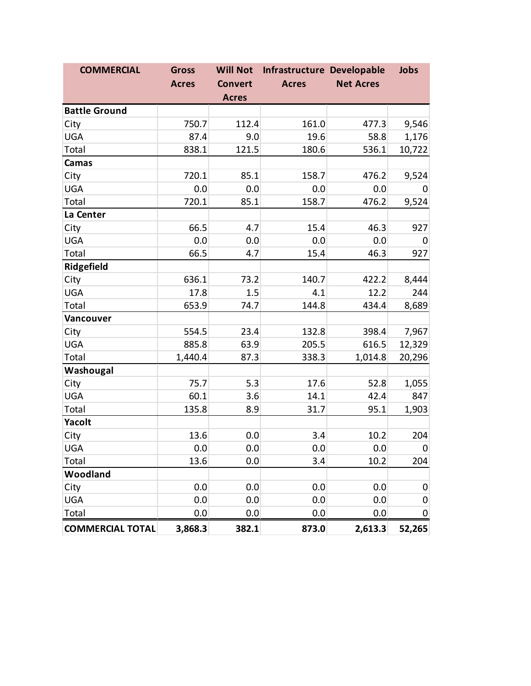| <b>COMMERCIAL</b>       | <b>Gross</b> | <b>Will Not</b> | Infrastructure Developable |                  | Jobs        |
|-------------------------|--------------|-----------------|----------------------------|------------------|-------------|
|                         | <b>Acres</b> | <b>Convert</b>  | <b>Acres</b>               | <b>Net Acres</b> |             |
|                         |              | <b>Acres</b>    |                            |                  |             |
| <b>Battle Ground</b>    |              |                 |                            |                  |             |
| City                    | 750.7        | 112.4           | 161.0                      | 477.3            | 9,546       |
| <b>UGA</b>              | 87.4         | 9.0             | 19.6                       | 58.8             | 1,176       |
| Total                   | 838.1        | 121.5           | 180.6                      | 536.1            | 10,722      |
| Camas                   |              |                 |                            |                  |             |
| City                    | 720.1        | 85.1            | 158.7                      | 476.2            | 9,524       |
| <b>UGA</b>              | 0.0          | 0.0             | 0.0                        | 0.0              | 0           |
| Total                   | 720.1        | 85.1            | 158.7                      | 476.2            | 9,524       |
| La Center               |              |                 |                            |                  |             |
| City                    | 66.5         | 4.7             | 15.4                       | 46.3             | 927         |
| <b>UGA</b>              | 0.0          | 0.0             | 0.0                        | 0.0              | $\mathbf 0$ |
| Total                   | 66.5         | 4.7             | 15.4                       | 46.3             | 927         |
| Ridgefield              |              |                 |                            |                  |             |
| City                    | 636.1        | 73.2            | 140.7                      | 422.2            | 8,444       |
| <b>UGA</b>              | 17.8         | 1.5             | 4.1                        | 12.2             | 244         |
| Total                   | 653.9        | 74.7            | 144.8                      | 434.4            | 8,689       |
| Vancouver               |              |                 |                            |                  |             |
| City                    | 554.5        | 23.4            | 132.8                      | 398.4            | 7,967       |
| <b>UGA</b>              | 885.8        | 63.9            | 205.5                      | 616.5            | 12,329      |
| Total                   | 1,440.4      | 87.3            | 338.3                      | 1,014.8          | 20,296      |
| Washougal               |              |                 |                            |                  |             |
| City                    | 75.7         | 5.3             | 17.6                       | 52.8             | 1,055       |
| <b>UGA</b>              | 60.1         | 3.6             | 14.1                       | 42.4             | 847         |
| Total                   | 135.8        | 8.9             | 31.7                       | 95.1             | 1,903       |
| Yacolt                  |              |                 |                            |                  |             |
| City                    | 13.6         | 0.0             | 3.4                        | 10.2             | 204         |
| <b>UGA</b>              | 0.0          | 0.0             | 0.0                        | 0.0              | $\mathbf 0$ |
| Total                   | 13.6         | 0.0             | 3.4                        | 10.2             | 204         |
| Woodland                |              |                 |                            |                  |             |
| City                    | 0.0          | 0.0             | 0.0                        | 0.0              | 0           |
| <b>UGA</b>              | 0.0          | 0.0             | 0.0                        | 0.0              | 0           |
| Total                   | 0.0          | 0.0             | 0.0                        | 0.0              | 0           |
| <b>COMMERCIAL TOTAL</b> | 3,868.3      | 382.1           | 873.0                      | 2,613.3          | 52,265      |